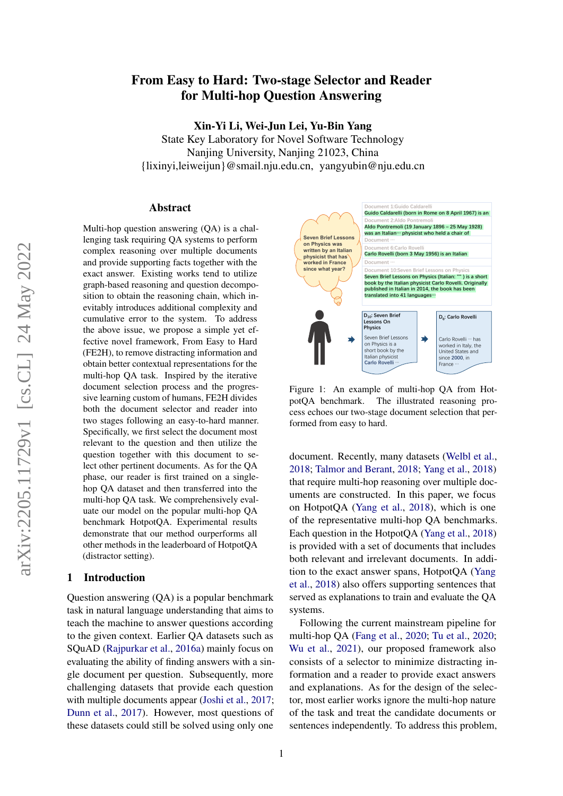# From Easy to Hard: Two-stage Selector and Reader for Multi-hop Question Answering

Xin-Yi Li, Wei-Jun Lei, Yu-Bin Yang

State Key Laboratory for Novel Software Technology Nanjing University, Nanjing 21023, China {lixinyi,leiweijun}@smail.nju.edu.cn, yangyubin@nju.edu.cn

#### Abstract

Multi-hop question answering (QA) is a challenging task requiring QA systems to perform complex reasoning over multiple documents and provide supporting facts together with the exact answer. Existing works tend to utilize graph-based reasoning and question decomposition to obtain the reasoning chain, which inevitably introduces additional complexity and cumulative error to the system. To address the above issue, we propose a simple yet effective novel framework, From Easy to Hard (FE2H), to remove distracting information and obtain better contextual representations for the multi-hop QA task. Inspired by the iterative document selection process and the progressive learning custom of humans, FE2H divides both the document selector and reader into two stages following an easy-to-hard manner. Specifically, we first select the document most relevant to the question and then utilize the question together with this document to select other pertinent documents. As for the QA phase, our reader is first trained on a singlehop QA dataset and then transferred into the multi-hop QA task. We comprehensively evaluate our model on the popular multi-hop QA benchmark HotpotQA. Experimental results demonstrate that our method ourperforms all other methods in the leaderboard of HotpotQA (distractor setting).

# <span id="page-0-1"></span>1 Introduction

Question answering (QA) is a popular benchmark task in natural language understanding that aims to teach the machine to answer questions according to the given context. Earlier QA datasets such as SQuAD [\(Rajpurkar et al.,](#page-8-0) [2016a\)](#page-8-0) mainly focus on evaluating the ability of finding answers with a single document per question. Subsequently, more challenging datasets that provide each question with multiple documents appear [\(Joshi et al.,](#page-8-1) [2017;](#page-8-1) [Dunn et al.,](#page-8-2) [2017\)](#page-8-2). However, most questions of these datasets could still be solved using only one

<span id="page-0-0"></span>

Figure 1: An example of multi-hop QA from HotpotQA benchmark. The illustrated reasoning process echoes our two-stage document selection that performed from easy to hard.

document. Recently, many datasets [\(Welbl et al.,](#page-8-3) [2018;](#page-8-3) [Talmor and Berant,](#page-8-4) [2018;](#page-8-4) [Yang et al.,](#page-9-0) [2018\)](#page-9-0) that require multi-hop reasoning over multiple documents are constructed. In this paper, we focus on HotpotQA [\(Yang et al.,](#page-9-0) [2018\)](#page-9-0), which is one of the representative multi-hop QA benchmarks. Each question in the HotpotQA [\(Yang et al.,](#page-9-0) [2018\)](#page-9-0) is provided with a set of documents that includes both relevant and irrelevant documents. In addition to the exact answer spans, HotpotQA [\(Yang](#page-9-0) [et al.,](#page-9-0) [2018\)](#page-9-0) also offers supporting sentences that served as explanations to train and evaluate the QA systems.

Following the current mainstream pipeline for multi-hop QA [\(Fang et al.,](#page-8-5) [2020;](#page-8-5) [Tu et al.,](#page-8-6) [2020;](#page-8-6) [Wu et al.,](#page-8-7) [2021\)](#page-8-7), our proposed framework also consists of a selector to minimize distracting information and a reader to provide exact answers and explanations. As for the design of the selector, most earlier works ignore the multi-hop nature of the task and treat the candidate documents or sentences independently. To address this problem,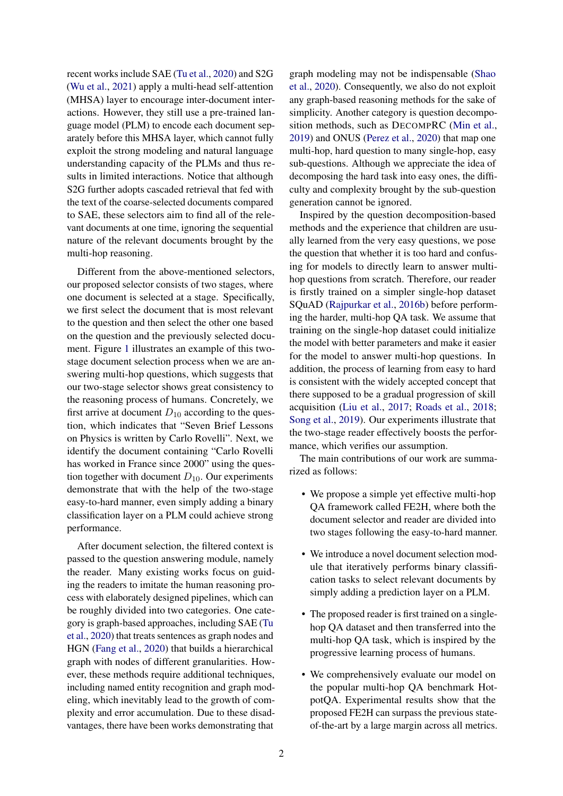recent works include SAE [\(Tu et al.,](#page-8-6) [2020\)](#page-8-6) and S2G [\(Wu et al.,](#page-8-7) [2021\)](#page-8-7) apply a multi-head self-attention (MHSA) layer to encourage inter-document interactions. However, they still use a pre-trained language model (PLM) to encode each document separately before this MHSA layer, which cannot fully exploit the strong modeling and natural language understanding capacity of the PLMs and thus results in limited interactions. Notice that although S2G further adopts cascaded retrieval that fed with the text of the coarse-selected documents compared to SAE, these selectors aim to find all of the relevant documents at one time, ignoring the sequential nature of the relevant documents brought by the multi-hop reasoning.

Different from the above-mentioned selectors, our proposed selector consists of two stages, where one document is selected at a stage. Specifically, we first select the document that is most relevant to the question and then select the other one based on the question and the previously selected document. Figure [1](#page-0-0) illustrates an example of this twostage document selection process when we are answering multi-hop questions, which suggests that our two-stage selector shows great consistency to the reasoning process of humans. Concretely, we first arrive at document  $D_{10}$  according to the question, which indicates that "Seven Brief Lessons on Physics is written by Carlo Rovelli". Next, we identify the document containing "Carlo Rovelli has worked in France since 2000" using the question together with document  $D_{10}$ . Our experiments demonstrate that with the help of the two-stage easy-to-hard manner, even simply adding a binary classification layer on a PLM could achieve strong performance.

After document selection, the filtered context is passed to the question answering module, namely the reader. Many existing works focus on guiding the readers to imitate the human reasoning process with elaborately designed pipelines, which can be roughly divided into two categories. One category is graph-based approaches, including SAE [\(Tu](#page-8-6) [et al.,](#page-8-6) [2020\)](#page-8-6) that treats sentences as graph nodes and HGN [\(Fang et al.,](#page-8-5) [2020\)](#page-8-5) that builds a hierarchical graph with nodes of different granularities. However, these methods require additional techniques, including named entity recognition and graph modeling, which inevitably lead to the growth of complexity and error accumulation. Due to these disadvantages, there have been works demonstrating that

graph modeling may not be indispensable [\(Shao](#page-8-8) [et al.,](#page-8-8) [2020\)](#page-8-8). Consequently, we also do not exploit any graph-based reasoning methods for the sake of simplicity. Another category is question decomposition methods, such as DECOMPRC [\(Min et al.,](#page-8-9) [2019\)](#page-8-9) and ONUS [\(Perez et al.,](#page-8-10) [2020\)](#page-8-10) that map one multi-hop, hard question to many single-hop, easy sub-questions. Although we appreciate the idea of decomposing the hard task into easy ones, the difficulty and complexity brought by the sub-question generation cannot be ignored.

Inspired by the question decomposition-based methods and the experience that children are usually learned from the very easy questions, we pose the question that whether it is too hard and confusing for models to directly learn to answer multihop questions from scratch. Therefore, our reader is firstly trained on a simpler single-hop dataset SQuAD [\(Rajpurkar et al.,](#page-8-11) [2016b\)](#page-8-11) before performing the harder, multi-hop QA task. We assume that training on the single-hop dataset could initialize the model with better parameters and make it easier for the model to answer multi-hop questions. In addition, the process of learning from easy to hard is consistent with the widely accepted concept that there supposed to be a gradual progression of skill acquisition [\(Liu et al.,](#page-8-12) [2017;](#page-8-12) [Roads et al.,](#page-8-13) [2018;](#page-8-13) [Song et al.,](#page-8-14) [2019\)](#page-8-14). Our experiments illustrate that the two-stage reader effectively boosts the performance, which verifies our assumption.

The main contributions of our work are summarized as follows:

- We propose a simple yet effective multi-hop QA framework called FE2H, where both the document selector and reader are divided into two stages following the easy-to-hard manner.
- We introduce a novel document selection module that iteratively performs binary classification tasks to select relevant documents by simply adding a prediction layer on a PLM.
- The proposed reader is first trained on a singlehop QA dataset and then transferred into the multi-hop QA task, which is inspired by the progressive learning process of humans.
- We comprehensively evaluate our model on the popular multi-hop QA benchmark HotpotQA. Experimental results show that the proposed FE2H can surpass the previous stateof-the-art by a large margin across all metrics.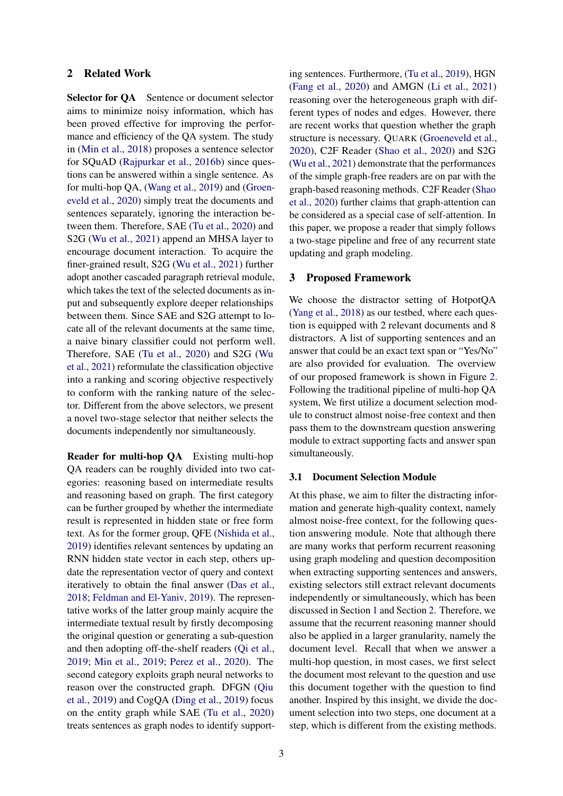# <span id="page-2-0"></span>2 Related Work

Selector for QA Sentence or document selector aims to minimize noisy information, which has been proved effective for improving the performance and efficiency of the QA system. The study in [\(Min et al.,](#page-8-15) [2018\)](#page-8-15) proposes a sentence selector for SQuAD [\(Rajpurkar et al.,](#page-8-11) [2016b\)](#page-8-11) since questions can be answered within a single sentence. As for multi-hop QA, [\(Wang et al.,](#page-8-16) [2019\)](#page-8-16) and [\(Groen](#page-8-17)[eveld et al.,](#page-8-17) [2020\)](#page-8-17) simply treat the documents and sentences separately, ignoring the interaction between them. Therefore, SAE [\(Tu et al.,](#page-8-6) [2020\)](#page-8-6) and S2G [\(Wu et al.,](#page-8-7) [2021\)](#page-8-7) append an MHSA layer to encourage document interaction. To acquire the finer-grained result, S2G [\(Wu et al.,](#page-8-7) [2021\)](#page-8-7) further adopt another cascaded paragraph retrieval module, which takes the text of the selected documents as input and subsequently explore deeper relationships between them. Since SAE and S2G attempt to locate all of the relevant documents at the same time, a naive binary classifier could not perform well. Therefore, SAE [\(Tu et al.,](#page-8-6) [2020\)](#page-8-6) and S2G [\(Wu](#page-8-7) [et al.,](#page-8-7) [2021\)](#page-8-7) reformulate the classification objective into a ranking and scoring objective respectively to conform with the ranking nature of the selector. Different from the above selectors, we present a novel two-stage selector that neither selects the documents independently nor simultaneously.

Reader for multi-hop QA Existing multi-hop QA readers can be roughly divided into two categories: reasoning based on intermediate results and reasoning based on graph. The first category can be further grouped by whether the intermediate result is represented in hidden state or free form text. As for the former group, QFE [\(Nishida et al.,](#page-8-18) [2019\)](#page-8-18) identifies relevant sentences by updating an RNN hidden state vector in each step, others update the representation vector of query and context iteratively to obtain the final answer [\(Das et al.,](#page-7-0) [2018;](#page-7-0) [Feldman and El-Yaniv,](#page-8-19) [2019\)](#page-8-19). The representative works of the latter group mainly acquire the intermediate textual result by firstly decomposing the original question or generating a sub-question and then adopting off-the-shelf readers [\(Qi et al.,](#page-8-20) [2019;](#page-8-20) [Min et al.,](#page-8-9) [2019;](#page-8-9) [Perez et al.,](#page-8-10) [2020\)](#page-8-10). The second category exploits graph neural networks to reason over the constructed graph. DFGN [\(Qiu](#page-8-21) [et al.,](#page-8-21) [2019\)](#page-8-21) and CogQA [\(Ding et al.,](#page-8-22) [2019\)](#page-8-22) focus on the entity graph while SAE [\(Tu et al.,](#page-8-6) [2020\)](#page-8-6) treats sentences as graph nodes to identify supporting sentences. Furthermore, [\(Tu et al.,](#page-8-23) [2019\)](#page-8-23), HGN [\(Fang et al.,](#page-8-5) [2020\)](#page-8-5) and AMGN [\(Li et al.,](#page-8-24) [2021\)](#page-8-24) reasoning over the heterogeneous graph with different types of nodes and edges. However, there are recent works that question whether the graph structure is necessary. QUARK [\(Groeneveld et al.,](#page-8-17) [2020\)](#page-8-17), C2F Reader [\(Shao et al.,](#page-8-8) [2020\)](#page-8-8) and S2G [\(Wu et al.,](#page-8-7) [2021\)](#page-8-7) demonstrate that the performances of the simple graph-free readers are on par with the graph-based reasoning methods. C2F Reader [\(Shao](#page-8-8) [et al.,](#page-8-8) [2020\)](#page-8-8) further claims that graph-attention can be considered as a special case of self-attention. In this paper, we propose a reader that simply follows a two-stage pipeline and free of any recurrent state updating and graph modeling.

#### 3 Proposed Framework

We choose the distractor setting of HotpotQA [\(Yang et al.,](#page-9-0) [2018\)](#page-9-0) as our testbed, where each question is equipped with 2 relevant documents and 8 distractors. A list of supporting sentences and an answer that could be an exact text span or "Yes/No" are also provided for evaluation. The overview of our proposed framework is shown in Figure [2.](#page-3-0) Following the traditional pipeline of multi-hop QA system, We first utilize a document selection module to construct almost noise-free context and then pass them to the downstream question answering module to extract supporting facts and answer span simultaneously.

### 3.1 Document Selection Module

At this phase, we aim to filter the distracting information and generate high-quality context, namely almost noise-free context, for the following question answering module. Note that although there are many works that perform recurrent reasoning using graph modeling and question decomposition when extracting supporting sentences and answers, existing selectors still extract relevant documents independently or simultaneously, which has been discussed in Section [1](#page-0-1) and Section [2.](#page-2-0) Therefore, we assume that the recurrent reasoning manner should also be applied in a larger granularity, namely the document level. Recall that when we answer a multi-hop question, in most cases, we first select the document most relevant to the question and use this document together with the question to find another. Inspired by this insight, we divide the document selection into two steps, one document at a step, which is different from the existing methods.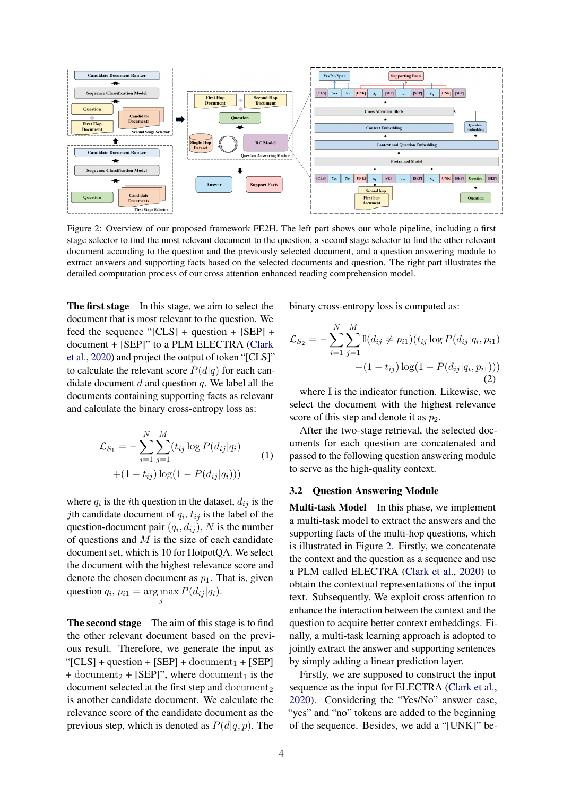<span id="page-3-0"></span>

Figure 2: Overview of our proposed framework FE2H. The left part shows our whole pipeline, including a first stage selector to find the most relevant document to the question, a second stage selector to find the other relevant document according to the question and the previously selected document, and a question answering module to extract answers and supporting facts based on the selected documents and question. The right part illustrates the detailed computation process of our cross attention enhanced reading comprehension model.

The first stage In this stage, we aim to select the document that is most relevant to the question. We feed the sequence "[CLS] + question + [SEP] + document + [SEP]" to a PLM ELECTRA [\(Clark](#page-7-1) [et al.,](#page-7-1) [2020\)](#page-7-1) and project the output of token "[CLS]" to calculate the relevant score  $P(d|q)$  for each candidate document  $d$  and question  $q$ . We label all the documents containing supporting facts as relevant and calculate the binary cross-entropy loss as:

$$
\mathcal{L}_{S_1} = -\sum_{i=1}^{N} \sum_{j=1}^{M} (t_{ij} \log P(d_{ij}|q_i) + (1 - t_{ij}) \log(1 - P(d_{ij}|q_i))) \tag{1}
$$

where  $q_i$  is the *i*th question in the dataset,  $d_{ij}$  is the *j*th candidate document of  $q_i$ ,  $t_{ij}$  is the label of the question-document pair  $(q_i, d_{ij})$ , N is the number of questions and  $M$  is the size of each candidate document set, which is 10 for HotpotQA. We select the document with the highest relevance score and denote the chosen document as  $p_1$ . That is, given question  $q_i$ ,  $p_{i1} = \arg \max_j P(d_{ij} | q_i)$ .

The second stage The aim of this stage is to find the other relevant document based on the previous result. Therefore, we generate the input as " $[CLS] + question + [SEP] + document_1 + [SEP]$ + document<sub>2</sub> + [SEP]", where document<sub>1</sub> is the document selected at the first step and document. is another candidate document. We calculate the relevance score of the candidate document as the previous step, which is denoted as  $P(d|q, p)$ . The

binary cross-entropy loss is computed as:

$$
\mathcal{L}_{S_2} = -\sum_{i=1}^{N} \sum_{j=1}^{M} \mathbb{I}(d_{ij} \neq p_{i1})(t_{ij} \log P(d_{ij}|q_i, p_{i1}) + (1 - t_{ij}) \log(1 - P(d_{ij}|q_i, p_{i1})))
$$
\n(2)

where  $\mathbb I$  is the indicator function. Likewise, we select the document with the highest relevance score of this step and denote it as  $p_2$ .

After the two-stage retrieval, the selected documents for each question are concatenated and passed to the following question answering module to serve as the high-quality context.

#### 3.2 Question Answering Module

Multi-task Model In this phase, we implement a multi-task model to extract the answers and the supporting facts of the multi-hop questions, which is illustrated in Figure [2.](#page-3-0) Firstly, we concatenate the context and the question as a sequence and use a PLM called ELECTRA [\(Clark et al.,](#page-7-1) [2020\)](#page-7-1) to obtain the contextual representations of the input text. Subsequently, We exploit cross attention to enhance the interaction between the context and the question to acquire better context embeddings. Finally, a multi-task learning approach is adopted to jointly extract the answer and supporting sentences by simply adding a linear prediction layer.

Firstly, we are supposed to construct the input sequence as the input for ELECTRA [\(Clark et al.,](#page-7-1) [2020\)](#page-7-1). Considering the "Yes/No" answer case, "yes" and "no" tokens are added to the beginning of the sequence. Besides, we add a "[UNK]" be-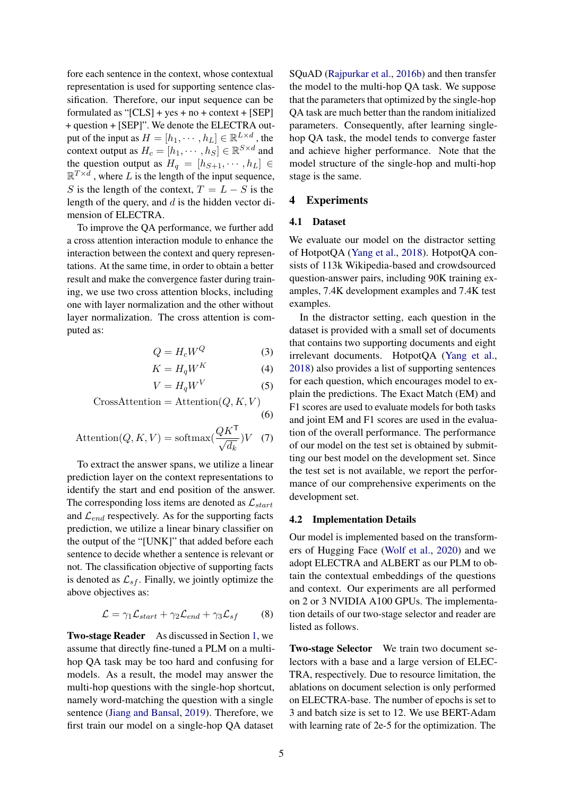fore each sentence in the context, whose contextual representation is used for supporting sentence classification. Therefore, our input sequence can be formulated as " $[CLS] + yes + no + context + [SEP]$ + question + [SEP]". We denote the ELECTRA output of the input as  $H = [h_1, \dots, h_L] \in \mathbb{R}^{L \times d}$ , the context output as  $H_c = [h_1, \cdots, h_S] \in \mathbb{R}^{S \times d}$  and the question output as  $H_q = [h_{S+1}, \cdots, h_L] \in$  $\mathbb{R}^{T \times d}$ , where L is the length of the input sequence, S is the length of the context,  $T = L - S$  is the length of the query, and  $d$  is the hidden vector dimension of ELECTRA.

To improve the QA performance, we further add a cross attention interaction module to enhance the interaction between the context and query representations. At the same time, in order to obtain a better result and make the convergence faster during training, we use two cross attention blocks, including one with layer normalization and the other without layer normalization. The cross attention is computed as:

$$
Q = H_c W^Q \tag{3}
$$

$$
K = H_q W^K \tag{4}
$$

$$
V = H_q W^V \tag{5}
$$

$$
CrossAttention =Attention(Q, K, V)
$$
\n(6)

$$
\text{Attention}(Q, K, V) = \text{softmax}(\frac{QK^{\mathsf{T}}}{\sqrt{d_k}})V \quad (7)
$$

To extract the answer spans, we utilize a linear prediction layer on the context representations to identify the start and end position of the answer. The corresponding loss items are denoted as  $\mathcal{L}_{start}$ and  $\mathcal{L}_{end}$  respectively. As for the supporting facts prediction, we utilize a linear binary classifier on the output of the "[UNK]" that added before each sentence to decide whether a sentence is relevant or not. The classification objective of supporting facts is denoted as  $\mathcal{L}_{sf}$ . Finally, we jointly optimize the above objectives as:

$$
\mathcal{L} = \gamma_1 \mathcal{L}_{start} + \gamma_2 \mathcal{L}_{end} + \gamma_3 \mathcal{L}_{sf}
$$
 (8)

Two-stage Reader As discussed in Section [1,](#page-0-1) we assume that directly fine-tuned a PLM on a multihop QA task may be too hard and confusing for models. As a result, the model may answer the multi-hop questions with the single-hop shortcut, namely word-matching the question with a single sentence [\(Jiang and Bansal,](#page-8-25) [2019\)](#page-8-25). Therefore, we first train our model on a single-hop QA dataset

SQuAD [\(Rajpurkar et al.,](#page-8-11) [2016b\)](#page-8-11) and then transfer the model to the multi-hop QA task. We suppose that the parameters that optimized by the single-hop QA task are much better than the random initialized parameters. Consequently, after learning singlehop QA task, the model tends to converge faster and achieve higher performance. Note that the model structure of the single-hop and multi-hop stage is the same.

# 4 Experiments

### 4.1 Dataset

We evaluate our model on the distractor setting of HotpotQA [\(Yang et al.,](#page-9-0) [2018\)](#page-9-0). HotpotQA consists of 113k Wikipedia-based and crowdsourced question-answer pairs, including 90K training examples, 7.4K development examples and 7.4K test examples.

In the distractor setting, each question in the dataset is provided with a small set of documents that contains two supporting documents and eight irrelevant documents. HotpotQA [\(Yang et al.,](#page-9-0) [2018\)](#page-9-0) also provides a list of supporting sentences for each question, which encourages model to explain the predictions. The Exact Match (EM) and F1 scores are used to evaluate models for both tasks and joint EM and F1 scores are used in the evaluation of the overall performance. The performance of our model on the test set is obtained by submitting our best model on the development set. Since the test set is not available, we report the performance of our comprehensive experiments on the development set.

#### 4.2 Implementation Details

Our model is implemented based on the transformers of Hugging Face [\(Wolf et al.,](#page-8-26) [2020\)](#page-8-26) and we adopt ELECTRA and ALBERT as our PLM to obtain the contextual embeddings of the questions and context. Our experiments are all performed on 2 or 3 NVIDIA A100 GPUs. The implementation details of our two-stage selector and reader are listed as follows.

Two-stage Selector We train two document selectors with a base and a large version of ELEC-TRA, respectively. Due to resource limitation, the ablations on document selection is only performed on ELECTRA-base. The number of epochs is set to 3 and batch size is set to 12. We use BERT-Adam with learning rate of 2e-5 for the optimization. The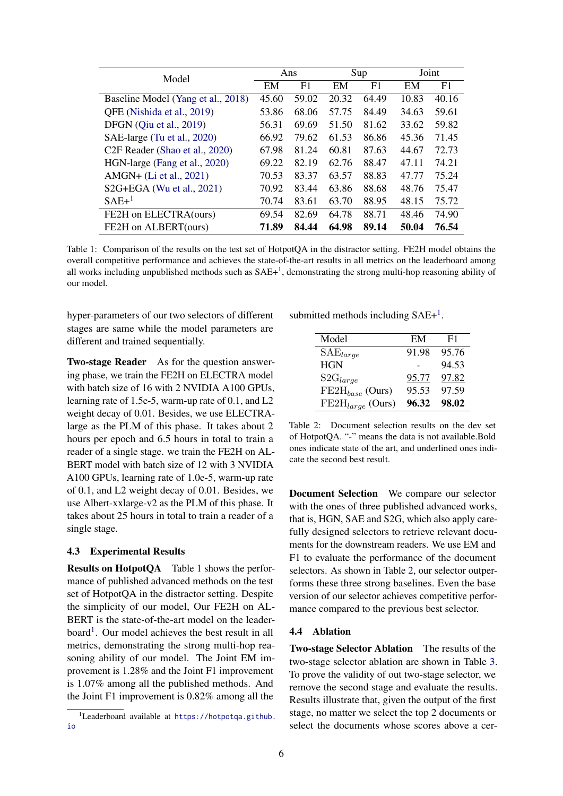<span id="page-5-1"></span>

| Model                                      | Ans   |                | Sup   |       | Joint |       |
|--------------------------------------------|-------|----------------|-------|-------|-------|-------|
|                                            | EM    | F <sub>1</sub> | EM    | F1    | EM    | F1    |
| Baseline Model (Yang et al., 2018)         | 45.60 | 59.02          | 20.32 | 64.49 | 10.83 | 40.16 |
| QFE (Nishida et al., 2019)                 | 53.86 | 68.06          | 57.75 | 84.49 | 34.63 | 59.61 |
| DFGN (Qiu et al., 2019)                    | 56.31 | 69.69          | 51.50 | 81.62 | 33.62 | 59.82 |
| SAE-large (Tu et al., 2020)                | 66.92 | 79.62          | 61.53 | 86.86 | 45.36 | 71.45 |
| C <sub>2F</sub> Reader (Shao et al., 2020) | 67.98 | 81.24          | 60.81 | 87.63 | 44.67 | 72.73 |
| HGN-large (Fang et al., 2020)              | 69.22 | 82.19          | 62.76 | 88.47 | 47.11 | 74.21 |
| AMGN+ (Li et al., 2021)                    | 70.53 | 83.37          | 63.57 | 88.83 | 47.77 | 75.24 |
| S2G+EGA (Wu et al., 2021)                  | 70.92 | 83.44          | 63.86 | 88.68 | 48.76 | 75.47 |
| $SAE+1$                                    | 70.74 | 83.61          | 63.70 | 88.95 | 48.15 | 75.72 |
| FE2H on ELECTRA(ours)                      | 69.54 | 82.69          | 64.78 | 88.71 | 48.46 | 74.90 |
| FE2H on ALBERT(ours)                       | 71.89 | 84.44          | 64.98 | 89.14 | 50.04 | 76.54 |

Table 1: Comparison of the results on the test set of HotpotQA in the distractor setting. FE2H model obtains the overall competitive performance and achieves the state-of-the-art results in all metrics on the leaderboard among all works including unpublished methods such as  $SAE+<sup>1</sup>$  $SAE+<sup>1</sup>$  $SAE+<sup>1</sup>$ , demonstrating the strong multi-hop reasoning ability of our model.

hyper-parameters of our two selectors of different stages are same while the model parameters are different and trained sequentially.

Two-stage Reader As for the question answering phase, we train the FE2H on ELECTRA model with batch size of 16 with 2 NVIDIA A100 GPUs, learning rate of 1.5e-5, warm-up rate of 0.1, and L2 weight decay of 0.01. Besides, we use ELECTRAlarge as the PLM of this phase. It takes about 2 hours per epoch and 6.5 hours in total to train a reader of a single stage. we train the FE2H on AL-BERT model with batch size of 12 with 3 NVIDIA A100 GPUs, learning rate of 1.0e-5, warm-up rate of 0.1, and L2 weight decay of 0.01. Besides, we use Albert-xxlarge-v2 as the PLM of this phase. It takes about 25 hours in total to train a reader of a single stage.

# 4.3 Experimental Results

Results on HotpotQA Table [1](#page-5-1) shows the performance of published advanced methods on the test set of HotpotQA in the distractor setting. Despite the simplicity of our model, Our FE2H on AL-BERT is the state-of-the-art model on the leader-board<sup>[1](#page-5-0)</sup>. Our model achieves the best result in all metrics, demonstrating the strong multi-hop reasoning ability of our model. The Joint EM improvement is 1.28% and the Joint F1 improvement is 1.07% among all the published methods. And the Joint F1 improvement is 0.82% among all the

<span id="page-5-2"></span>submitted methods including  $SAE+<sup>1</sup>$  $SAE+<sup>1</sup>$  $SAE+<sup>1</sup>$ .

| Model                         | EM    | F1    |
|-------------------------------|-------|-------|
| $SAE_{large}$                 | 91.98 | 95.76 |
| <b>HGN</b>                    |       | 94.53 |
| $S2G_{large}$                 | 95.77 | 97.82 |
| $\mathrm{FE2H}_{base}$ (Ours) | 95.53 | 97.59 |
| $FE2H_{large}$ (Ours)         | 96.32 | 98.02 |

Table 2: Document selection results on the dev set of HotpotQA. "-" means the data is not available.Bold ones indicate state of the art, and underlined ones indicate the second best result.

Document Selection We compare our selector with the ones of three published advanced works, that is, HGN, SAE and S2G, which also apply carefully designed selectors to retrieve relevant documents for the downstream readers. We use EM and F1 to evaluate the performance of the document selectors. As shown in Table [2,](#page-5-2) our selector outperforms these three strong baselines. Even the base version of our selector achieves competitive performance compared to the previous best selector.

# 4.4 Ablation

Two-stage Selector Ablation The results of the two-stage selector ablation are shown in Table [3.](#page-6-0) To prove the validity of out two-stage selector, we remove the second stage and evaluate the results. Results illustrate that, given the output of the first stage, no matter we select the top 2 documents or select the documents whose scores above a cer-

<span id="page-5-0"></span><sup>&</sup>lt;sup>1</sup>Leaderboard available at [https://hotpotqa.github.](https://hotpotqa.github.io) [io](https://hotpotqa.github.io)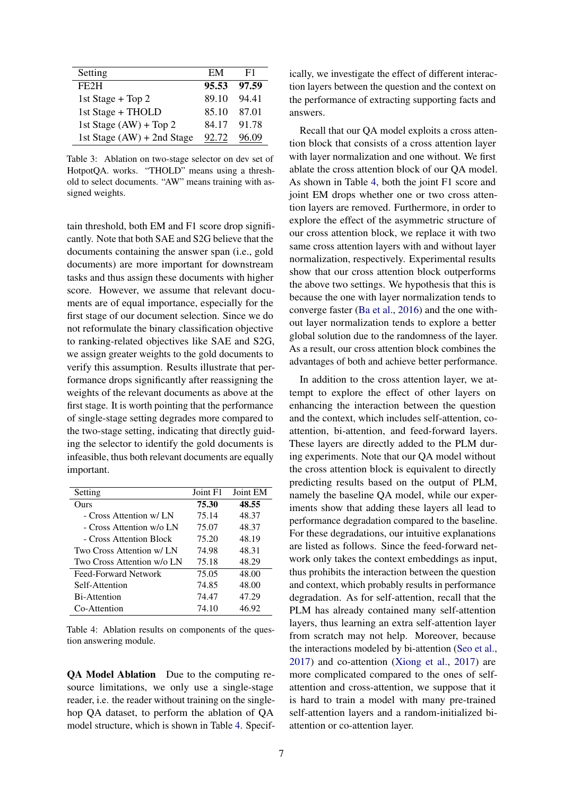<span id="page-6-0"></span>

| Setting                      | EM    | F1    |
|------------------------------|-------|-------|
| FE2H                         | 95.53 | 97.59 |
| 1st Stage + Top 2            | 89.10 | 94 41 |
| 1st Stage + THOLD            | 85.10 | 87.01 |
| 1st Stage $(AW)$ + Top 2     | 84.17 | 91.78 |
| 1st Stage $(AW) + 2nd$ Stage | 92.72 | 96.09 |

Table 3: Ablation on two-stage selector on dev set of HotpotQA. works. "THOLD" means using a threshold to select documents. "AW" means training with assigned weights.

tain threshold, both EM and F1 score drop significantly. Note that both SAE and S2G believe that the documents containing the answer span (i.e., gold documents) are more important for downstream tasks and thus assign these documents with higher score. However, we assume that relevant documents are of equal importance, especially for the first stage of our document selection. Since we do not reformulate the binary classification objective to ranking-related objectives like SAE and S2G, we assign greater weights to the gold documents to verify this assumption. Results illustrate that performance drops significantly after reassigning the weights of the relevant documents as above at the first stage. It is worth pointing that the performance of single-stage setting degrades more compared to the two-stage setting, indicating that directly guiding the selector to identify the gold documents is infeasible, thus both relevant documents are equally important.

<span id="page-6-1"></span>

| Setting                    | Joint F1 | Joint EM |
|----------------------------|----------|----------|
| Ours                       | 75.30    | 48.55    |
| - Cross Attention w/ LN    | 75.14    | 48.37    |
| - Cross Attention w/o LN   | 75.07    | 48.37    |
| - Cross Attention Block    | 75.20    | 48.19    |
| Two Cross Attention w/ LN  | 74.98    | 48.31    |
| Two Cross Attention w/o LN | 75.18    | 48.29    |
| Feed-Forward Network       | 75.05    | 48.00    |
| Self-Attention             | 74.85    | 48.00    |
| Bi-Attention               | 74.47    | 47.29    |
| Co-Attention               | 74.10    | 46.92    |

Table 4: Ablation results on components of the question answering module.

QA Model Ablation Due to the computing resource limitations, we only use a single-stage reader, i.e. the reader without training on the singlehop QA dataset, to perform the ablation of QA model structure, which is shown in Table [4.](#page-6-1) Specifically, we investigate the effect of different interaction layers between the question and the context on the performance of extracting supporting facts and answers.

Recall that our QA model exploits a cross attention block that consists of a cross attention layer with layer normalization and one without. We first ablate the cross attention block of our QA model. As shown in Table [4,](#page-6-1) both the joint F1 score and joint EM drops whether one or two cross attention layers are removed. Furthermore, in order to explore the effect of the asymmetric structure of our cross attention block, we replace it with two same cross attention layers with and without layer normalization, respectively. Experimental results show that our cross attention block outperforms the above two settings. We hypothesis that this is because the one with layer normalization tends to converge faster [\(Ba et al.,](#page-7-2) [2016\)](#page-7-2) and the one without layer normalization tends to explore a better global solution due to the randomness of the layer. As a result, our cross attention block combines the advantages of both and achieve better performance.

In addition to the cross attention layer, we attempt to explore the effect of other layers on enhancing the interaction between the question and the context, which includes self-attention, coattention, bi-attention, and feed-forward layers. These layers are directly added to the PLM during experiments. Note that our QA model without the cross attention block is equivalent to directly predicting results based on the output of PLM, namely the baseline QA model, while our experiments show that adding these layers all lead to performance degradation compared to the baseline. For these degradations, our intuitive explanations are listed as follows. Since the feed-forward network only takes the context embeddings as input, thus prohibits the interaction between the question and context, which probably results in performance degradation. As for self-attention, recall that the PLM has already contained many self-attention layers, thus learning an extra self-attention layer from scratch may not help. Moreover, because the interactions modeled by bi-attention [\(Seo et al.,](#page-8-27) [2017\)](#page-8-27) and co-attention [\(Xiong et al.,](#page-9-1) [2017\)](#page-9-1) are more complicated compared to the ones of selfattention and cross-attention, we suppose that it is hard to train a model with many pre-trained self-attention layers and a random-initialized biattention or co-attention layer.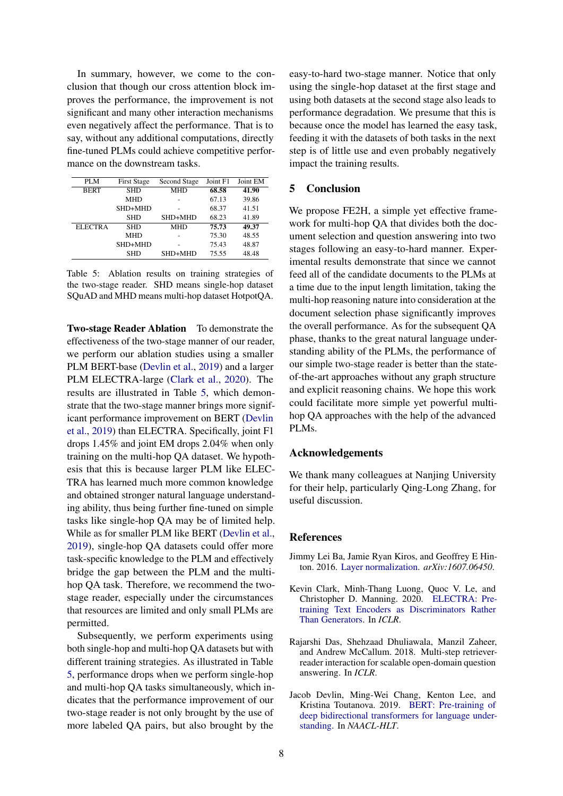In summary, however, we come to the conclusion that though our cross attention block improves the performance, the improvement is not significant and many other interaction mechanisms even negatively affect the performance. That is to say, without any additional computations, directly fine-tuned PLMs could achieve competitive performance on the downstream tasks.

<span id="page-7-4"></span>

| PLM            | <b>First Stage</b> | Second Stage | Joint F1 | Joint EM |
|----------------|--------------------|--------------|----------|----------|
| <b>BERT</b>    | <b>SHD</b>         | <b>MHD</b>   | 68.58    | 41.90    |
|                | <b>MHD</b>         |              | 67.13    | 39.86    |
|                | SHD+MHD            |              | 68.37    | 41.51    |
|                | <b>SHD</b>         | SHD+MHD      | 68.23    | 41.89    |
| <b>ELECTRA</b> | <b>SHD</b>         | <b>MHD</b>   | 75.73    | 49.37    |
|                | <b>MHD</b>         |              | 75.30    | 48.55    |
|                | SHD+MHD            |              | 75.43    | 48.87    |
|                | <b>SHD</b>         | SHD+MHD      | 75.55    | 48.48    |

Table 5: Ablation results on training strategies of the two-stage reader. SHD means single-hop dataset SQuAD and MHD means multi-hop dataset HotpotQA.

Two-stage Reader Ablation To demonstrate the effectiveness of the two-stage manner of our reader, we perform our ablation studies using a smaller PLM BERT-base [\(Devlin et al.,](#page-7-3) [2019\)](#page-7-3) and a larger PLM ELECTRA-large [\(Clark et al.,](#page-7-1) [2020\)](#page-7-1). The results are illustrated in Table [5,](#page-7-4) which demonstrate that the two-stage manner brings more significant performance improvement on BERT [\(Devlin](#page-7-3) [et al.,](#page-7-3) [2019\)](#page-7-3) than ELECTRA. Specifically, joint F1 drops 1.45% and joint EM drops 2.04% when only training on the multi-hop QA dataset. We hypothesis that this is because larger PLM like ELEC-TRA has learned much more common knowledge and obtained stronger natural language understanding ability, thus being further fine-tuned on simple tasks like single-hop QA may be of limited help. While as for smaller PLM like BERT [\(Devlin et al.,](#page-7-3) [2019\)](#page-7-3), single-hop QA datasets could offer more task-specific knowledge to the PLM and effectively bridge the gap between the PLM and the multihop QA task. Therefore, we recommend the twostage reader, especially under the circumstances that resources are limited and only small PLMs are permitted.

Subsequently, we perform experiments using both single-hop and multi-hop QA datasets but with different training strategies. As illustrated in Table [5,](#page-7-4) performance drops when we perform single-hop and multi-hop QA tasks simultaneously, which indicates that the performance improvement of our two-stage reader is not only brought by the use of more labeled QA pairs, but also brought by the

easy-to-hard two-stage manner. Notice that only using the single-hop dataset at the first stage and using both datasets at the second stage also leads to performance degradation. We presume that this is because once the model has learned the easy task, feeding it with the datasets of both tasks in the next step is of little use and even probably negatively impact the training results.

### 5 Conclusion

We propose FE2H, a simple yet effective framework for multi-hop QA that divides both the document selection and question answering into two stages following an easy-to-hard manner. Experimental results demonstrate that since we cannot feed all of the candidate documents to the PLMs at a time due to the input length limitation, taking the multi-hop reasoning nature into consideration at the document selection phase significantly improves the overall performance. As for the subsequent QA phase, thanks to the great natural language understanding ability of the PLMs, the performance of our simple two-stage reader is better than the stateof-the-art approaches without any graph structure and explicit reasoning chains. We hope this work could facilitate more simple yet powerful multihop QA approaches with the help of the advanced PLMs.

### Acknowledgements

We thank many colleagues at Nanjing University for their help, particularly Qing-Long Zhang, for useful discussion.

# **References**

- <span id="page-7-2"></span>Jimmy Lei Ba, Jamie Ryan Kiros, and Geoffrey E Hinton. 2016. [Layer normalization.](https://arxiv.org/abs/1607.06450) *arXiv:1607.06450*.
- <span id="page-7-1"></span>Kevin Clark, Minh-Thang Luong, Quoc V. Le, and Christopher D. Manning. 2020. [ELECTRA: Pre](http://arxiv.org/abs/2003.10555)[training Text Encoders as Discriminators Rather](http://arxiv.org/abs/2003.10555) [Than Generators.](http://arxiv.org/abs/2003.10555) In *ICLR*.
- <span id="page-7-0"></span>Rajarshi Das, Shehzaad Dhuliawala, Manzil Zaheer, and Andrew McCallum. 2018. Multi-step retrieverreader interaction for scalable open-domain question answering. In *ICLR*.
- <span id="page-7-3"></span>Jacob Devlin, Ming-Wei Chang, Kenton Lee, and Kristina Toutanova. 2019. [BERT: Pre-training of](https://doi.org/10.18653/v1/N19-1423) [deep bidirectional transformers for language under](https://doi.org/10.18653/v1/N19-1423)[standing.](https://doi.org/10.18653/v1/N19-1423) In *NAACL-HLT*.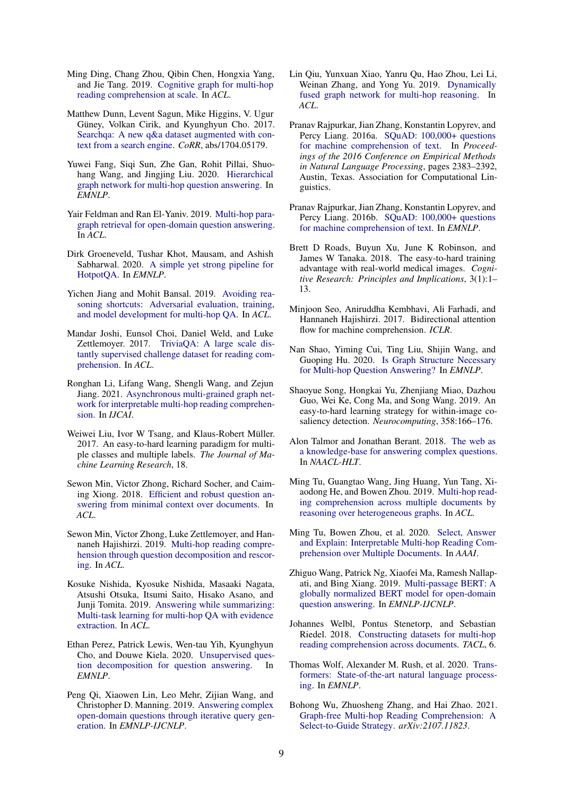- <span id="page-8-22"></span>Ming Ding, Chang Zhou, Qibin Chen, Hongxia Yang, and Jie Tang. 2019. [Cognitive graph for multi-hop](https://doi.org/10.18653/v1/P19-1259) [reading comprehension at scale.](https://doi.org/10.18653/v1/P19-1259) In *ACL*.
- <span id="page-8-2"></span>Matthew Dunn, Levent Sagun, Mike Higgins, V. Ugur Güney, Volkan Cirik, and Kyunghyun Cho. 2017. [Searchqa: A new q&a dataset augmented with con](http://arxiv.org/abs/1704.05179)[text from a search engine.](http://arxiv.org/abs/1704.05179) *CoRR*, abs/1704.05179.
- <span id="page-8-5"></span>Yuwei Fang, Siqi Sun, Zhe Gan, Rohit Pillai, Shuohang Wang, and Jingjing Liu. 2020. [Hierarchical](https://doi.org/10.18653/v1/2020.emnlp-main.710) [graph network for multi-hop question answering.](https://doi.org/10.18653/v1/2020.emnlp-main.710) In *EMNLP*.
- <span id="page-8-19"></span>Yair Feldman and Ran El-Yaniv. 2019. [Multi-hop para](https://doi.org/10.18653/v1/P19-1222)[graph retrieval for open-domain question answering.](https://doi.org/10.18653/v1/P19-1222) In *ACL*.
- <span id="page-8-17"></span>Dirk Groeneveld, Tushar Khot, Mausam, and Ashish Sabharwal. 2020. [A simple yet strong pipeline for](https://doi.org/10.18653/v1/2020.emnlp-main.711) [HotpotQA.](https://doi.org/10.18653/v1/2020.emnlp-main.711) In *EMNLP*.
- <span id="page-8-25"></span>Yichen Jiang and Mohit Bansal. 2019. [Avoiding rea](https://doi.org/10.18653/v1/P19-1262)[soning shortcuts: Adversarial evaluation, training,](https://doi.org/10.18653/v1/P19-1262) [and model development for multi-hop QA.](https://doi.org/10.18653/v1/P19-1262) In *ACL*.
- <span id="page-8-1"></span>Mandar Joshi, Eunsol Choi, Daniel Weld, and Luke Zettlemoyer. 2017. [TriviaQA: A large scale dis](https://doi.org/10.18653/v1/P17-1147)[tantly supervised challenge dataset for reading com](https://doi.org/10.18653/v1/P17-1147)[prehension.](https://doi.org/10.18653/v1/P17-1147) In *ACL*.
- <span id="page-8-24"></span>Ronghan Li, Lifang Wang, Shengli Wang, and Zejun Jiang. 2021. [Asynchronous multi-grained graph net](https://doi.org/10.24963/ijcai.2021/531)[work for interpretable multi-hop reading comprehen](https://doi.org/10.24963/ijcai.2021/531)[sion.](https://doi.org/10.24963/ijcai.2021/531) In *IJCAI*.
- <span id="page-8-12"></span>Weiwei Liu, Ivor W Tsang, and Klaus-Robert Müller. 2017. An easy-to-hard learning paradigm for multiple classes and multiple labels. *The Journal of Machine Learning Research*, 18.
- <span id="page-8-15"></span>Sewon Min, Victor Zhong, Richard Socher, and Caiming Xiong. 2018. [Efficient and robust question an](https://doi.org/10.18653/v1/P18-1160)[swering from minimal context over documents.](https://doi.org/10.18653/v1/P18-1160) In *ACL*.
- <span id="page-8-9"></span>Sewon Min, Victor Zhong, Luke Zettlemoyer, and Hannaneh Hajishirzi. 2019. [Multi-hop reading compre](https://doi.org/10.18653/v1/P19-1613)[hension through question decomposition and rescor](https://doi.org/10.18653/v1/P19-1613)[ing.](https://doi.org/10.18653/v1/P19-1613) In *ACL*.
- <span id="page-8-18"></span>Kosuke Nishida, Kyosuke Nishida, Masaaki Nagata, Atsushi Otsuka, Itsumi Saito, Hisako Asano, and Junji Tomita. 2019. [Answering while summarizing:](https://doi.org/10.18653/v1/P19-1225) [Multi-task learning for multi-hop QA with evidence](https://doi.org/10.18653/v1/P19-1225) [extraction.](https://doi.org/10.18653/v1/P19-1225) In *ACL*.
- <span id="page-8-10"></span>Ethan Perez, Patrick Lewis, Wen-tau Yih, Kyunghyun Cho, and Douwe Kiela. 2020. [Unsupervised ques](https://doi.org/10.18653/v1/2020.emnlp-main.713)[tion decomposition for question answering.](https://doi.org/10.18653/v1/2020.emnlp-main.713) In *EMNLP*.
- <span id="page-8-20"></span>Peng Qi, Xiaowen Lin, Leo Mehr, Zijian Wang, and Christopher D. Manning. 2019. [Answering complex](https://doi.org/10.18653/v1/D19-1261) [open-domain questions through iterative query gen](https://doi.org/10.18653/v1/D19-1261)[eration.](https://doi.org/10.18653/v1/D19-1261) In *EMNLP-IJCNLP*.
- <span id="page-8-21"></span>Lin Qiu, Yunxuan Xiao, Yanru Qu, Hao Zhou, Lei Li, Weinan Zhang, and Yong Yu. 2019. [Dynamically](https://doi.org/10.18653/v1/P19-1617) [fused graph network for multi-hop reasoning.](https://doi.org/10.18653/v1/P19-1617) In *ACL*.
- <span id="page-8-0"></span>Pranav Rajpurkar, Jian Zhang, Konstantin Lopyrev, and Percy Liang. 2016a. [SQuAD: 100,000+ questions](https://doi.org/10.18653/v1/D16-1264) [for machine comprehension of text.](https://doi.org/10.18653/v1/D16-1264) In *Proceedings of the 2016 Conference on Empirical Methods in Natural Language Processing*, pages 2383–2392, Austin, Texas. Association for Computational Linguistics.
- <span id="page-8-11"></span>Pranav Rajpurkar, Jian Zhang, Konstantin Lopyrev, and Percy Liang. 2016b. [SQuAD: 100,000+ questions](https://doi.org/10.18653/v1/D16-1264) [for machine comprehension of text.](https://doi.org/10.18653/v1/D16-1264) In *EMNLP*.
- <span id="page-8-13"></span>Brett D Roads, Buyun Xu, June K Robinson, and James W Tanaka. 2018. The easy-to-hard training advantage with real-world medical images. *Cognitive Research: Principles and Implications*, 3(1):1– 13.
- <span id="page-8-27"></span>Minjoon Seo, Aniruddha Kembhavi, Ali Farhadi, and Hannaneh Hajishirzi. 2017. Bidirectional attention flow for machine comprehension. *ICLR*.
- <span id="page-8-8"></span>Nan Shao, Yiming Cui, Ting Liu, Shijin Wang, and Guoping Hu. 2020. [Is Graph Structure Necessary](https://doi.org/10.18653/v1/2020.emnlp-main.583) [for Multi-hop Question Answering?](https://doi.org/10.18653/v1/2020.emnlp-main.583) In *EMNLP*.
- <span id="page-8-14"></span>Shaoyue Song, Hongkai Yu, Zhenjiang Miao, Dazhou Guo, Wei Ke, Cong Ma, and Song Wang. 2019. An easy-to-hard learning strategy for within-image cosaliency detection. *Neurocomputing*, 358:166–176.
- <span id="page-8-4"></span>Alon Talmor and Jonathan Berant. 2018. [The web as](https://doi.org/10.18653/v1/N18-1059) [a knowledge-base for answering complex questions.](https://doi.org/10.18653/v1/N18-1059) In *NAACL-HLT*.
- <span id="page-8-23"></span>Ming Tu, Guangtao Wang, Jing Huang, Yun Tang, Xiaodong He, and Bowen Zhou. 2019. [Multi-hop read](https://doi.org/10.18653/v1/P19-1260)[ing comprehension across multiple documents by](https://doi.org/10.18653/v1/P19-1260) [reasoning over heterogeneous graphs.](https://doi.org/10.18653/v1/P19-1260) In *ACL*.
- <span id="page-8-6"></span>Ming Tu, Bowen Zhou, et al. 2020. [Select, Answer](http://arxiv.org/abs/1911.00484) [and Explain: Interpretable Multi-hop Reading Com](http://arxiv.org/abs/1911.00484)[prehension over Multiple Documents.](http://arxiv.org/abs/1911.00484) In *AAAI*.
- <span id="page-8-16"></span>Zhiguo Wang, Patrick Ng, Xiaofei Ma, Ramesh Nallapati, and Bing Xiang. 2019. [Multi-passage BERT: A](https://doi.org/10.18653/v1/D19-1599) [globally normalized BERT model for open-domain](https://doi.org/10.18653/v1/D19-1599) [question answering.](https://doi.org/10.18653/v1/D19-1599) In *EMNLP-IJCNLP*.
- <span id="page-8-3"></span>Johannes Welbl, Pontus Stenetorp, and Sebastian Riedel. 2018. [Constructing datasets for multi-hop](https://doi.org/10.1162/tacl_a_00021) [reading comprehension across documents.](https://doi.org/10.1162/tacl_a_00021) *TACL*, 6.
- <span id="page-8-26"></span>Thomas Wolf, Alexander M. Rush, et al. 2020. [Trans](https://www.aclweb.org/anthology/2020.emnlp-demos.6)[formers: State-of-the-art natural language process](https://www.aclweb.org/anthology/2020.emnlp-demos.6)[ing.](https://www.aclweb.org/anthology/2020.emnlp-demos.6) In *EMNLP*.
- <span id="page-8-7"></span>Bohong Wu, Zhuosheng Zhang, and Hai Zhao. 2021. [Graph-free Multi-hop Reading Comprehension: A](http://arxiv.org/abs/2107.11823) [Select-to-Guide Strategy.](http://arxiv.org/abs/2107.11823) *arXiv:2107.11823*.